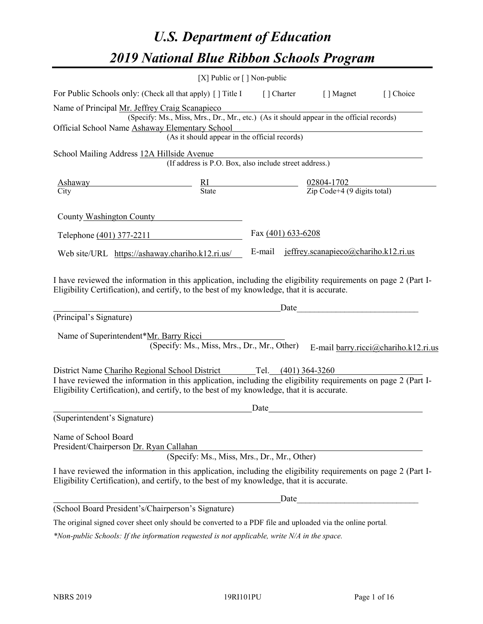# *U.S. Department of Education 2019 National Blue Ribbon Schools Program*

|                                                                                                                                                                                                              | [X] Public or $\lceil$ ] Non-public                                                      |            |                                      |                                      |
|--------------------------------------------------------------------------------------------------------------------------------------------------------------------------------------------------------------|------------------------------------------------------------------------------------------|------------|--------------------------------------|--------------------------------------|
| For Public Schools only: (Check all that apply) [] Title I                                                                                                                                                   |                                                                                          | [] Charter | [ ] Magnet                           | [] Choice                            |
| Name of Principal Mr. Jeffrey Craig Scanapieco                                                                                                                                                               | (Specify: Ms., Miss, Mrs., Dr., Mr., etc.) (As it should appear in the official records) |            |                                      |                                      |
| Official School Name Ashaway Elementary School                                                                                                                                                               | (As it should appear in the official records)                                            |            |                                      |                                      |
| School Mailing Address 12A Hillside Avenue                                                                                                                                                                   | (If address is P.O. Box, also include street address.)                                   |            |                                      |                                      |
| Ashaway<br>City                                                                                                                                                                                              | $\frac{RI}{State}$ $\frac{02804-1702}{Zip Code+4 (9 digits total)}$                      |            |                                      |                                      |
| County Washington County                                                                                                                                                                                     |                                                                                          |            |                                      |                                      |
| Telephone (401) 377-2211                                                                                                                                                                                     | Fax (401) 633-6208                                                                       |            |                                      |                                      |
| Web site/URL https://ashaway.chariho.k12.ri.us/                                                                                                                                                              |                                                                                          | E-mail     | jeffrey.scanapieco@chariho.k12.ri.us |                                      |
| I have reviewed the information in this application, including the eligibility requirements on page 2 (Part I-<br>Eligibility Certification), and certify, to the best of my knowledge, that it is accurate. |                                                                                          |            |                                      |                                      |
| (Principal's Signature)                                                                                                                                                                                      |                                                                                          | Date       |                                      |                                      |
| Name of Superintendent*Mr. Barry Ricci                                                                                                                                                                       |                                                                                          |            |                                      |                                      |
|                                                                                                                                                                                                              | (Specify: Ms., Miss, Mrs., Dr., Mr., Other)                                              |            |                                      | E-mail barry.ricci@chariho.k12.ri.us |
| District Name Chariho Regional School District Tel. (401) 364-3260                                                                                                                                           |                                                                                          |            |                                      |                                      |
| I have reviewed the information in this application, including the eligibility requirements on page 2 (Part I-<br>Eligibility Certification), and certify, to the best of my knowledge, that it is accurate. |                                                                                          |            |                                      |                                      |
|                                                                                                                                                                                                              |                                                                                          | Date       |                                      |                                      |
| (Superintendent's Signature)                                                                                                                                                                                 |                                                                                          |            |                                      |                                      |
| Name of School Board<br>President/Chairperson Dr. Ryan Callahan                                                                                                                                              | (Specify: Ms., Miss, Mrs., Dr., Mr., Other)                                              |            |                                      |                                      |
| I have reviewed the information in this application, including the eligibility requirements on page 2 (Part I-<br>Eligibility Certification), and certify, to the best of my knowledge, that it is accurate. |                                                                                          |            |                                      |                                      |
|                                                                                                                                                                                                              |                                                                                          | Date       |                                      |                                      |
| (School Board President's/Chairperson's Signature)                                                                                                                                                           |                                                                                          |            |                                      |                                      |
| The original signed cover sheet only should be converted to a PDF file and uploaded via the online portal.                                                                                                   |                                                                                          |            |                                      |                                      |

*\*Non-public Schools: If the information requested is not applicable, write N/A in the space.*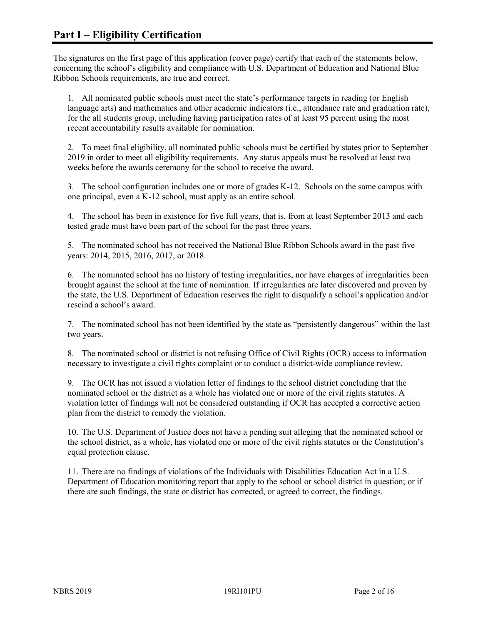The signatures on the first page of this application (cover page) certify that each of the statements below, concerning the school's eligibility and compliance with U.S. Department of Education and National Blue Ribbon Schools requirements, are true and correct.

1. All nominated public schools must meet the state's performance targets in reading (or English language arts) and mathematics and other academic indicators (i.e., attendance rate and graduation rate), for the all students group, including having participation rates of at least 95 percent using the most recent accountability results available for nomination.

2. To meet final eligibility, all nominated public schools must be certified by states prior to September 2019 in order to meet all eligibility requirements. Any status appeals must be resolved at least two weeks before the awards ceremony for the school to receive the award.

3. The school configuration includes one or more of grades K-12. Schools on the same campus with one principal, even a K-12 school, must apply as an entire school.

4. The school has been in existence for five full years, that is, from at least September 2013 and each tested grade must have been part of the school for the past three years.

5. The nominated school has not received the National Blue Ribbon Schools award in the past five years: 2014, 2015, 2016, 2017, or 2018.

6. The nominated school has no history of testing irregularities, nor have charges of irregularities been brought against the school at the time of nomination. If irregularities are later discovered and proven by the state, the U.S. Department of Education reserves the right to disqualify a school's application and/or rescind a school's award.

7. The nominated school has not been identified by the state as "persistently dangerous" within the last two years.

8. The nominated school or district is not refusing Office of Civil Rights (OCR) access to information necessary to investigate a civil rights complaint or to conduct a district-wide compliance review.

9. The OCR has not issued a violation letter of findings to the school district concluding that the nominated school or the district as a whole has violated one or more of the civil rights statutes. A violation letter of findings will not be considered outstanding if OCR has accepted a corrective action plan from the district to remedy the violation.

10. The U.S. Department of Justice does not have a pending suit alleging that the nominated school or the school district, as a whole, has violated one or more of the civil rights statutes or the Constitution's equal protection clause.

11. There are no findings of violations of the Individuals with Disabilities Education Act in a U.S. Department of Education monitoring report that apply to the school or school district in question; or if there are such findings, the state or district has corrected, or agreed to correct, the findings.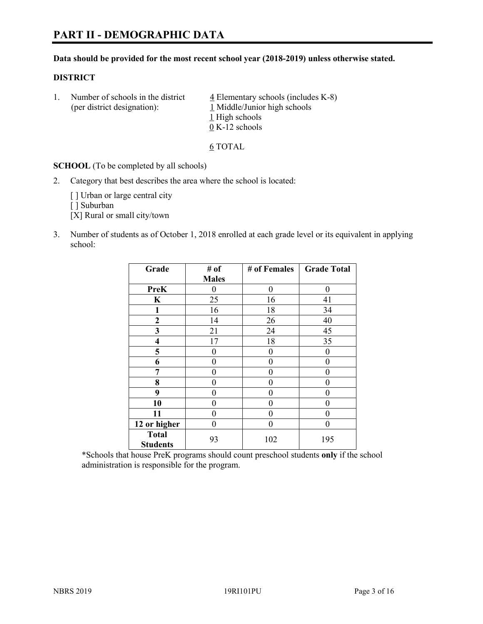# **PART II - DEMOGRAPHIC DATA**

#### **Data should be provided for the most recent school year (2018-2019) unless otherwise stated.**

#### **DISTRICT**

1. Number of schools in the district  $\frac{4}{5}$  Elementary schools (includes K-8) (per district designation): 1 Middle/Junior high schools 1 High schools 0 K-12 schools

6 TOTAL

**SCHOOL** (To be completed by all schools)

2. Category that best describes the area where the school is located:

[ ] Urban or large central city

[ ] Suburban

[X] Rural or small city/town

3. Number of students as of October 1, 2018 enrolled at each grade level or its equivalent in applying school:

| Grade                           | # of         | # of Females | <b>Grade Total</b> |
|---------------------------------|--------------|--------------|--------------------|
|                                 | <b>Males</b> |              |                    |
| <b>PreK</b>                     | 0            | $\theta$     | 0                  |
| $\mathbf K$                     | 25           | 16           | 41                 |
| 1                               | 16           | 18           | 34                 |
| $\mathbf{2}$                    | 14           | 26           | 40                 |
| 3                               | 21           | 24           | 45                 |
| 4                               | 17           | 18           | 35                 |
| 5                               | 0            | 0            | $\theta$           |
| 6                               | 0            | $\theta$     | 0                  |
| 7                               | 0            | $\theta$     | 0                  |
| 8                               | 0            | 0            | 0                  |
| 9                               | 0            | $\theta$     | 0                  |
| 10                              | 0            | 0            | 0                  |
| 11                              | 0            | 0            | 0                  |
| 12 or higher                    | 0            | $\theta$     | 0                  |
| <b>Total</b><br><b>Students</b> | 93           | 102          | 195                |

\*Schools that house PreK programs should count preschool students **only** if the school administration is responsible for the program.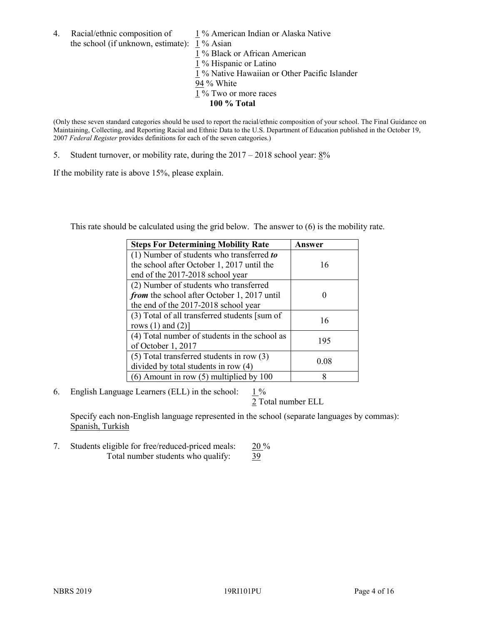4. Racial/ethnic composition of  $1\%$  American Indian or Alaska Native the school (if unknown, estimate): 1 % Asian

 % Black or African American % Hispanic or Latino % Native Hawaiian or Other Pacific Islander 94 % White % Two or more races **100 % Total**

(Only these seven standard categories should be used to report the racial/ethnic composition of your school. The Final Guidance on Maintaining, Collecting, and Reporting Racial and Ethnic Data to the U.S. Department of Education published in the October 19, 2007 *Federal Register* provides definitions for each of the seven categories.)

5. Student turnover, or mobility rate, during the 2017 – 2018 school year: 8%

If the mobility rate is above 15%, please explain.

This rate should be calculated using the grid below. The answer to (6) is the mobility rate.

| <b>Steps For Determining Mobility Rate</b>    | <b>Answer</b> |
|-----------------------------------------------|---------------|
| (1) Number of students who transferred to     |               |
| the school after October 1, 2017 until the    | 16            |
| end of the 2017-2018 school year              |               |
| (2) Number of students who transferred        |               |
| from the school after October 1, 2017 until   |               |
| the end of the 2017-2018 school year          |               |
| (3) Total of all transferred students [sum of | 16            |
| rows $(1)$ and $(2)$ ]                        |               |
| (4) Total number of students in the school as | 195           |
| of October 1, 2017                            |               |
| $(5)$ Total transferred students in row $(3)$ | 0.08          |
| divided by total students in row (4)          |               |
| $(6)$ Amount in row $(5)$ multiplied by 100   | 8             |

6. English Language Learners (ELL) in the school:  $1\%$ 

2 Total number ELL

Specify each non-English language represented in the school (separate languages by commas): Spanish, Turkish

7. Students eligible for free/reduced-priced meals: 20 % Total number students who qualify: 39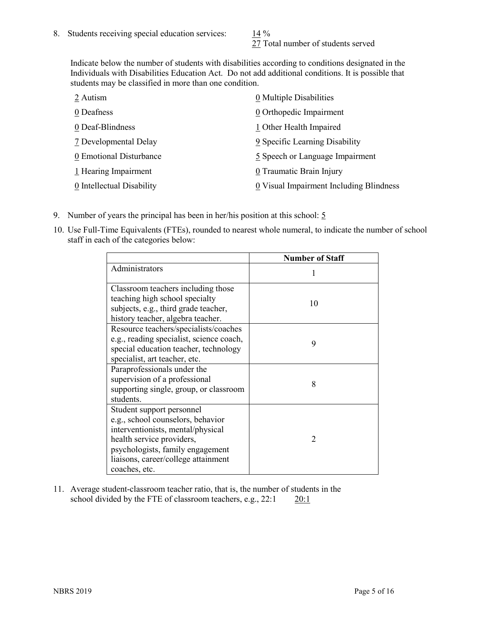27 Total number of students served

Indicate below the number of students with disabilities according to conditions designated in the Individuals with Disabilities Education Act. Do not add additional conditions. It is possible that students may be classified in more than one condition.

| 2 Autism                  | 0 Multiple Disabilities                 |
|---------------------------|-----------------------------------------|
| 0 Deafness                | 0 Orthopedic Impairment                 |
| 0 Deaf-Blindness          | 1 Other Health Impaired                 |
| 7 Developmental Delay     | 9 Specific Learning Disability          |
| 0 Emotional Disturbance   | 5 Speech or Language Impairment         |
| 1 Hearing Impairment      | 0 Traumatic Brain Injury                |
| 0 Intellectual Disability | 0 Visual Impairment Including Blindness |

- 9. Number of years the principal has been in her/his position at this school:  $5$
- 10. Use Full-Time Equivalents (FTEs), rounded to nearest whole numeral, to indicate the number of school staff in each of the categories below:

|                                                                                                                                                                                                                              | <b>Number of Staff</b>   |
|------------------------------------------------------------------------------------------------------------------------------------------------------------------------------------------------------------------------------|--------------------------|
| Administrators                                                                                                                                                                                                               |                          |
| Classroom teachers including those<br>teaching high school specialty<br>subjects, e.g., third grade teacher,<br>history teacher, algebra teacher.                                                                            | 10                       |
| Resource teachers/specialists/coaches<br>e.g., reading specialist, science coach,<br>special education teacher, technology<br>specialist, art teacher, etc.                                                                  | 9                        |
| Paraprofessionals under the<br>supervision of a professional<br>supporting single, group, or classroom<br>students.                                                                                                          | 8                        |
| Student support personnel<br>e.g., school counselors, behavior<br>interventionists, mental/physical<br>health service providers,<br>psychologists, family engagement<br>liaisons, career/college attainment<br>coaches, etc. | $\mathfrak{D}_{1}^{(1)}$ |

11. Average student-classroom teacher ratio, that is, the number of students in the school divided by the FTE of classroom teachers, e.g., 22:1 20:1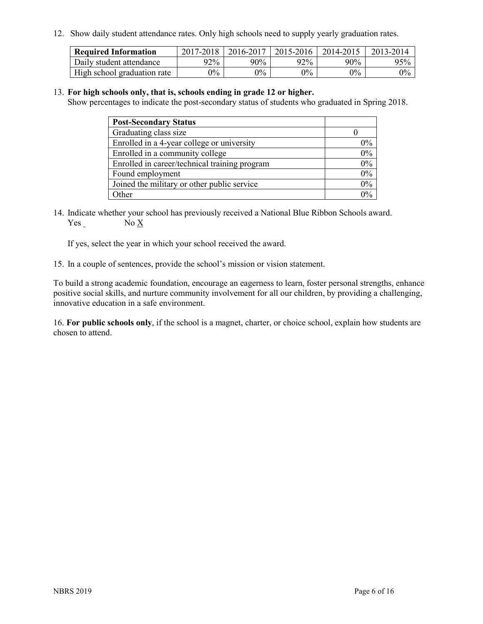12. Show daily student attendance rates. Only high schools need to supply yearly graduation rates.

| <b>Required Information</b> | 2017-2018 | 2016-2017 | 2015-2016 | 2014-2015 | 2013-2014 |
|-----------------------------|-----------|-----------|-----------|-----------|-----------|
| Daily student attendance    | 92%       | 90%       | 92%       | $90\%$    | 95%       |
| High school graduation rate | $0\%$     | $0\%$     | $0\%$     | $9\%$     | $0\%$     |

#### 13. **For high schools only, that is, schools ending in grade 12 or higher.**

Show percentages to indicate the post-secondary status of students who graduated in Spring 2018.

| <b>Post-Secondary Status</b>                  |       |
|-----------------------------------------------|-------|
| Graduating class size                         |       |
| Enrolled in a 4-year college or university    | $0\%$ |
| Enrolled in a community college               | 0%    |
| Enrolled in career/technical training program | 0%    |
| Found employment                              | 0%    |
| Joined the military or other public service   | 0%    |
| Other                                         | $0\%$ |

14. Indicate whether your school has previously received a National Blue Ribbon Schools award. Yes No X

If yes, select the year in which your school received the award.

15. In a couple of sentences, provide the school's mission or vision statement.

To build a strong academic foundation, encourage an eagerness to learn, foster personal strengths, enhance positive social skills, and nurture community involvement for all our children, by providing a challenging, innovative education in a safe environment.

16. **For public schools only**, if the school is a magnet, charter, or choice school, explain how students are chosen to attend.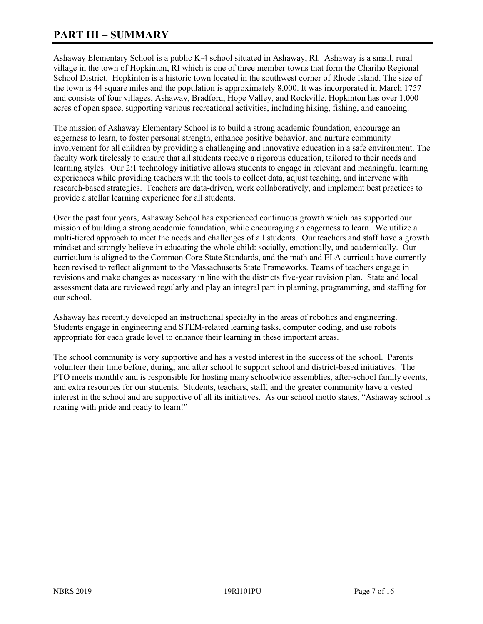# **PART III – SUMMARY**

Ashaway Elementary School is a public K-4 school situated in Ashaway, RI. Ashaway is a small, rural village in the town of Hopkinton, RI which is one of three member towns that form the Chariho Regional School District. Hopkinton is a historic town located in the southwest corner of Rhode Island. The size of the town is 44 square miles and the population is approximately 8,000. It was incorporated in March 1757 and consists of four villages, Ashaway, Bradford, Hope Valley, and Rockville. Hopkinton has over 1,000 acres of open space, supporting various recreational activities, including hiking, fishing, and canoeing.

The mission of Ashaway Elementary School is to build a strong academic foundation, encourage an eagerness to learn, to foster personal strength, enhance positive behavior, and nurture community involvement for all children by providing a challenging and innovative education in a safe environment. The faculty work tirelessly to ensure that all students receive a rigorous education, tailored to their needs and learning styles. Our 2:1 technology initiative allows students to engage in relevant and meaningful learning experiences while providing teachers with the tools to collect data, adjust teaching, and intervene with research-based strategies. Teachers are data-driven, work collaboratively, and implement best practices to provide a stellar learning experience for all students.

Over the past four years, Ashaway School has experienced continuous growth which has supported our mission of building a strong academic foundation, while encouraging an eagerness to learn. We utilize a multi-tiered approach to meet the needs and challenges of all students. Our teachers and staff have a growth mindset and strongly believe in educating the whole child: socially, emotionally, and academically. Our curriculum is aligned to the Common Core State Standards, and the math and ELA curricula have currently been revised to reflect alignment to the Massachusetts State Frameworks. Teams of teachers engage in revisions and make changes as necessary in line with the districts five-year revision plan. State and local assessment data are reviewed regularly and play an integral part in planning, programming, and staffing for our school.

Ashaway has recently developed an instructional specialty in the areas of robotics and engineering. Students engage in engineering and STEM-related learning tasks, computer coding, and use robots appropriate for each grade level to enhance their learning in these important areas.

The school community is very supportive and has a vested interest in the success of the school. Parents volunteer their time before, during, and after school to support school and district-based initiatives. The PTO meets monthly and is responsible for hosting many schoolwide assemblies, after-school family events, and extra resources for our students. Students, teachers, staff, and the greater community have a vested interest in the school and are supportive of all its initiatives. As our school motto states, "Ashaway school is roaring with pride and ready to learn!"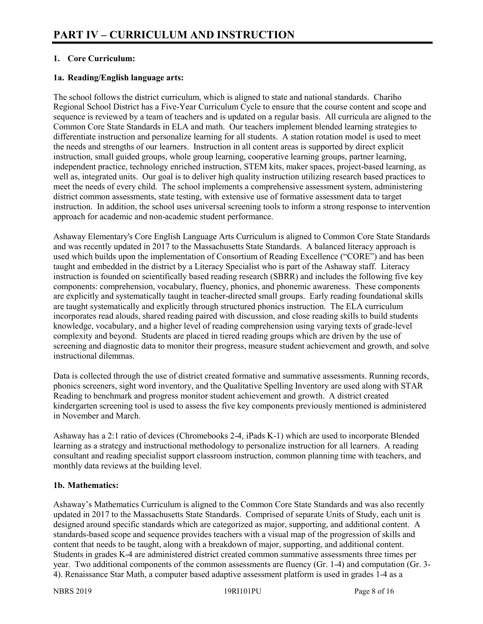# **1. Core Curriculum:**

# **1a. Reading/English language arts:**

The school follows the district curriculum, which is aligned to state and national standards. Chariho Regional School District has a Five-Year Curriculum Cycle to ensure that the course content and scope and sequence is reviewed by a team of teachers and is updated on a regular basis. All curricula are aligned to the Common Core State Standards in ELA and math. Our teachers implement blended learning strategies to differentiate instruction and personalize learning for all students. A station rotation model is used to meet the needs and strengths of our learners. Instruction in all content areas is supported by direct explicit instruction, small guided groups, whole group learning, cooperative learning groups, partner learning, independent practice, technology enriched instruction, STEM kits, maker spaces, project-based learning, as well as, integrated units. Our goal is to deliver high quality instruction utilizing research based practices to meet the needs of every child. The school implements a comprehensive assessment system, administering district common assessments, state testing, with extensive use of formative assessment data to target instruction. In addition, the school uses universal screening tools to inform a strong response to intervention approach for academic and non-academic student performance.

Ashaway Elementary's Core English Language Arts Curriculum is aligned to Common Core State Standards and was recently updated in 2017 to the Massachusetts State Standards. A balanced literacy approach is used which builds upon the implementation of Consortium of Reading Excellence ("CORE") and has been taught and embedded in the district by a Literacy Specialist who is part of the Ashaway staff. Literacy instruction is founded on scientifically based reading research (SBRR) and includes the following five key components: comprehension, vocabulary, fluency, phonics, and phonemic awareness. These components are explicitly and systematically taught in teacher-directed small groups. Early reading foundational skills are taught systematically and explicitly through structured phonics instruction. The ELA curriculum incorporates read alouds, shared reading paired with discussion, and close reading skills to build students knowledge, vocabulary, and a higher level of reading comprehension using varying texts of grade-level complexity and beyond. Students are placed in tiered reading groups which are driven by the use of screening and diagnostic data to monitor their progress, measure student achievement and growth, and solve instructional dilemmas.

Data is collected through the use of district created formative and summative assessments. Running records, phonics screeners, sight word inventory, and the Qualitative Spelling Inventory are used along with STAR Reading to benchmark and progress monitor student achievement and growth. A district created kindergarten screening tool is used to assess the five key components previously mentioned is administered in November and March.

Ashaway has a 2:1 ratio of devices (Chromebooks 2-4, iPads K-1) which are used to incorporate Blended learning as a strategy and instructional methodology to personalize instruction for all learners. A reading consultant and reading specialist support classroom instruction, common planning time with teachers, and monthly data reviews at the building level.

# **1b. Mathematics:**

Ashaway's Mathematics Curriculum is aligned to the Common Core State Standards and was also recently updated in 2017 to the Massachusetts State Standards. Comprised of separate Units of Study, each unit is designed around specific standards which are categorized as major, supporting, and additional content. A standards-based scope and sequence provides teachers with a visual map of the progression of skills and content that needs to be taught, along with a breakdown of major, supporting, and additional content. Students in grades K-4 are administered district created common summative assessments three times per year. Two additional components of the common assessments are fluency (Gr. 1-4) and computation (Gr. 3- 4). Renaissance Star Math, a computer based adaptive assessment platform is used in grades 1-4 as a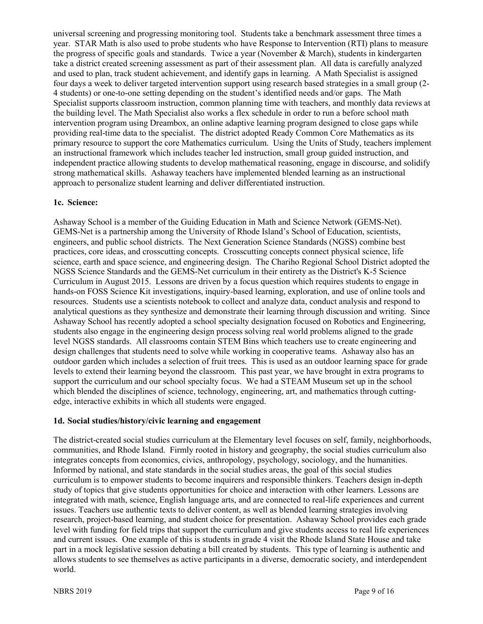universal screening and progressing monitoring tool. Students take a benchmark assessment three times a year. STAR Math is also used to probe students who have Response to Intervention (RTI) plans to measure the progress of specific goals and standards. Twice a year (November & March), students in kindergarten take a district created screening assessment as part of their assessment plan. All data is carefully analyzed and used to plan, track student achievement, and identify gaps in learning. A Math Specialist is assigned four days a week to deliver targeted intervention support using research based strategies in a small group (2- 4 students) or one-to-one setting depending on the student's identified needs and/or gaps. The Math Specialist supports classroom instruction, common planning time with teachers, and monthly data reviews at the building level. The Math Specialist also works a flex schedule in order to run a before school math intervention program using Dreambox, an online adaptive learning program designed to close gaps while providing real-time data to the specialist. The district adopted Ready Common Core Mathematics as its primary resource to support the core Mathematics curriculum. Using the Units of Study, teachers implement an instructional framework which includes teacher led instruction, small group guided instruction, and independent practice allowing students to develop mathematical reasoning, engage in discourse, and solidify strong mathematical skills. Ashaway teachers have implemented blended learning as an instructional approach to personalize student learning and deliver differentiated instruction.

#### **1c. Science:**

Ashaway School is a member of the Guiding Education in Math and Science Network (GEMS-Net). GEMS-Net is a partnership among the University of Rhode Island's School of Education, scientists, engineers, and public school districts. The Next Generation Science Standards (NGSS) combine best practices, core ideas, and crosscutting concepts. Crosscutting concepts connect physical science, life science, earth and space science, and engineering design. The Chariho Regional School District adopted the NGSS Science Standards and the GEMS-Net curriculum in their entirety as the District's K-5 Science Curriculum in August 2015. Lessons are driven by a focus question which requires students to engage in hands-on FOSS Science Kit investigations, inquiry-based learning, exploration, and use of online tools and resources. Students use a scientists notebook to collect and analyze data, conduct analysis and respond to analytical questions as they synthesize and demonstrate their learning through discussion and writing. Since Ashaway School has recently adopted a school specialty designation focused on Robotics and Engineering, students also engage in the engineering design process solving real world problems aligned to the grade level NGSS standards. All classrooms contain STEM Bins which teachers use to create engineering and design challenges that students need to solve while working in cooperative teams. Ashaway also has an outdoor garden which includes a selection of fruit trees. This is used as an outdoor learning space for grade levels to extend their learning beyond the classroom. This past year, we have brought in extra programs to support the curriculum and our school specialty focus. We had a STEAM Museum set up in the school which blended the disciplines of science, technology, engineering, art, and mathematics through cuttingedge, interactive exhibits in which all students were engaged.

#### **1d. Social studies/history/civic learning and engagement**

The district-created social studies curriculum at the Elementary level focuses on self, family, neighborhoods, communities, and Rhode Island. Firmly rooted in history and geography, the social studies curriculum also integrates concepts from economics, civics, anthropology, psychology, sociology, and the humanities. Informed by national, and state standards in the social studies areas, the goal of this social studies curriculum is to empower students to become inquirers and responsible thinkers. Teachers design in-depth study of topics that give students opportunities for choice and interaction with other learners. Lessons are integrated with math, science, English language arts, and are connected to real-life experiences and current issues. Teachers use authentic texts to deliver content, as well as blended learning strategies involving research, project-based learning, and student choice for presentation. Ashaway School provides each grade level with funding for field trips that support the curriculum and give students access to real life experiences and current issues. One example of this is students in grade 4 visit the Rhode Island State House and take part in a mock legislative session debating a bill created by students. This type of learning is authentic and allows students to see themselves as active participants in a diverse, democratic society, and interdependent world.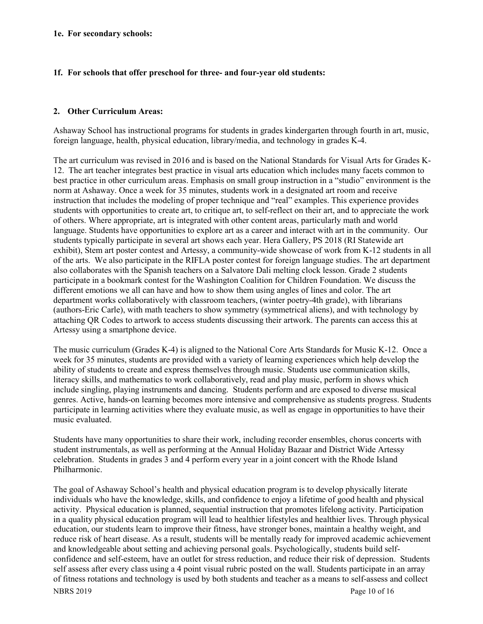#### **1e. For secondary schools:**

#### **1f. For schools that offer preschool for three- and four-year old students:**

## **2. Other Curriculum Areas:**

Ashaway School has instructional programs for students in grades kindergarten through fourth in art, music, foreign language, health, physical education, library/media, and technology in grades K-4.

The art curriculum was revised in 2016 and is based on the National Standards for Visual Arts for Grades K-12. The art teacher integrates best practice in visual arts education which includes many facets common to best practice in other curriculum areas. Emphasis on small group instruction in a "studio" environment is the norm at Ashaway. Once a week for 35 minutes, students work in a designated art room and receive instruction that includes the modeling of proper technique and "real" examples. This experience provides students with opportunities to create art, to critique art, to self-reflect on their art, and to appreciate the work of others. Where appropriate, art is integrated with other content areas, particularly math and world language. Students have opportunities to explore art as a career and interact with art in the community. Our students typically participate in several art shows each year. Hera Gallery, PS 2018 (RI Statewide art exhibit), Stem art poster contest and Artessy, a community-wide showcase of work from K-12 students in all of the arts. We also participate in the RIFLA poster contest for foreign language studies. The art department also collaborates with the Spanish teachers on a Salvatore Dali melting clock lesson. Grade 2 students participate in a bookmark contest for the Washington Coalition for Children Foundation. We discuss the different emotions we all can have and how to show them using angles of lines and color. The art department works collaboratively with classroom teachers, (winter poetry-4th grade), with librarians (authors-Eric Carle), with math teachers to show symmetry (symmetrical aliens), and with technology by attaching QR Codes to artwork to access students discussing their artwork. The parents can access this at Artessy using a smartphone device.

The music curriculum (Grades K-4) is aligned to the National Core Arts Standards for Music K-12. Once a week for 35 minutes, students are provided with a variety of learning experiences which help develop the ability of students to create and express themselves through music. Students use communication skills, literacy skills, and mathematics to work collaboratively, read and play music, perform in shows which include singling, playing instruments and dancing. Students perform and are exposed to diverse musical genres. Active, hands-on learning becomes more intensive and comprehensive as students progress. Students participate in learning activities where they evaluate music, as well as engage in opportunities to have their music evaluated.

Students have many opportunities to share their work, including recorder ensembles, chorus concerts with student instrumentals, as well as performing at the Annual Holiday Bazaar and District Wide Artessy celebration. Students in grades 3 and 4 perform every year in a joint concert with the Rhode Island Philharmonic.

NBRS 2019 Page 10 of 16 The goal of Ashaway School's health and physical education program is to develop physically literate individuals who have the knowledge, skills, and confidence to enjoy a lifetime of good health and physical activity. Physical education is planned, sequential instruction that promotes lifelong activity. Participation in a quality physical education program will lead to healthier lifestyles and healthier lives. Through physical education, our students learn to improve their fitness, have stronger bones, maintain a healthy weight, and reduce risk of heart disease. As a result, students will be mentally ready for improved academic achievement and knowledgeable about setting and achieving personal goals. Psychologically, students build selfconfidence and self-esteem, have an outlet for stress reduction, and reduce their risk of depression. Students self assess after every class using a 4 point visual rubric posted on the wall. Students participate in an array of fitness rotations and technology is used by both students and teacher as a means to self-assess and collect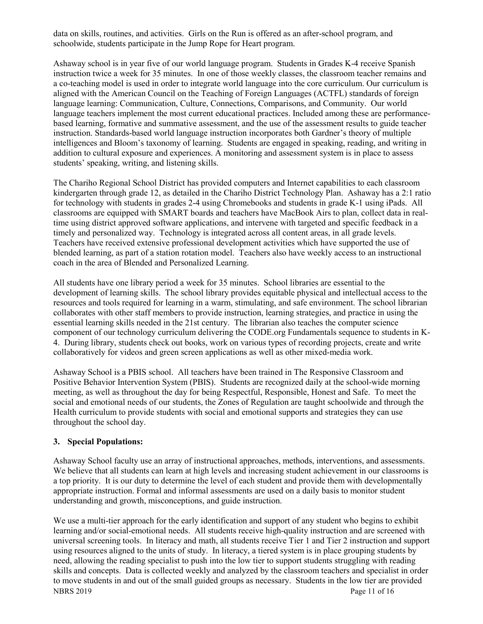data on skills, routines, and activities. Girls on the Run is offered as an after-school program, and schoolwide, students participate in the Jump Rope for Heart program.

Ashaway school is in year five of our world language program. Students in Grades K-4 receive Spanish instruction twice a week for 35 minutes. In one of those weekly classes, the classroom teacher remains and a co-teaching model is used in order to integrate world language into the core curriculum. Our curriculum is aligned with the American Council on the Teaching of Foreign Languages (ACTFL) standards of foreign language learning: Communication, Culture, Connections, Comparisons, and Community. Our world language teachers implement the most current educational practices. Included among these are performancebased learning, formative and summative assessment, and the use of the assessment results to guide teacher instruction. Standards-based world language instruction incorporates both Gardner's theory of multiple intelligences and Bloom's taxonomy of learning. Students are engaged in speaking, reading, and writing in addition to cultural exposure and experiences. A monitoring and assessment system is in place to assess students' speaking, writing, and listening skills.

The Chariho Regional School District has provided computers and Internet capabilities to each classroom kindergarten through grade 12, as detailed in the Chariho District Technology Plan. Ashaway has a 2:1 ratio for technology with students in grades 2-4 using Chromebooks and students in grade K-1 using iPads. All classrooms are equipped with SMART boards and teachers have MacBook Airs to plan, collect data in realtime using district approved software applications, and intervene with targeted and specific feedback in a timely and personalized way. Technology is integrated across all content areas, in all grade levels. Teachers have received extensive professional development activities which have supported the use of blended learning, as part of a station rotation model. Teachers also have weekly access to an instructional coach in the area of Blended and Personalized Learning.

All students have one library period a week for 35 minutes. School libraries are essential to the development of learning skills. The school library provides equitable physical and intellectual access to the resources and tools required for learning in a warm, stimulating, and safe environment. The school librarian collaborates with other staff members to provide instruction, learning strategies, and practice in using the essential learning skills needed in the 21st century. The librarian also teaches the computer science component of our technology curriculum delivering the CODE.org Fundamentals sequence to students in K-4. During library, students check out books, work on various types of recording projects, create and write collaboratively for videos and green screen applications as well as other mixed-media work.

Ashaway School is a PBIS school. All teachers have been trained in The Responsive Classroom and Positive Behavior Intervention System (PBIS). Students are recognized daily at the school-wide morning meeting, as well as throughout the day for being Respectful, Responsible, Honest and Safe. To meet the social and emotional needs of our students, the Zones of Regulation are taught schoolwide and through the Health curriculum to provide students with social and emotional supports and strategies they can use throughout the school day.

#### **3. Special Populations:**

Ashaway School faculty use an array of instructional approaches, methods, interventions, and assessments. We believe that all students can learn at high levels and increasing student achievement in our classrooms is a top priority. It is our duty to determine the level of each student and provide them with developmentally appropriate instruction. Formal and informal assessments are used on a daily basis to monitor student understanding and growth, misconceptions, and guide instruction.

NBRS 2019 Page 11 of 16 We use a multi-tier approach for the early identification and support of any student who begins to exhibit learning and/or social-emotional needs. All students receive high-quality instruction and are screened with universal screening tools. In literacy and math, all students receive Tier 1 and Tier 2 instruction and support using resources aligned to the units of study. In literacy, a tiered system is in place grouping students by need, allowing the reading specialist to push into the low tier to support students struggling with reading skills and concepts. Data is collected weekly and analyzed by the classroom teachers and specialist in order to move students in and out of the small guided groups as necessary. Students in the low tier are provided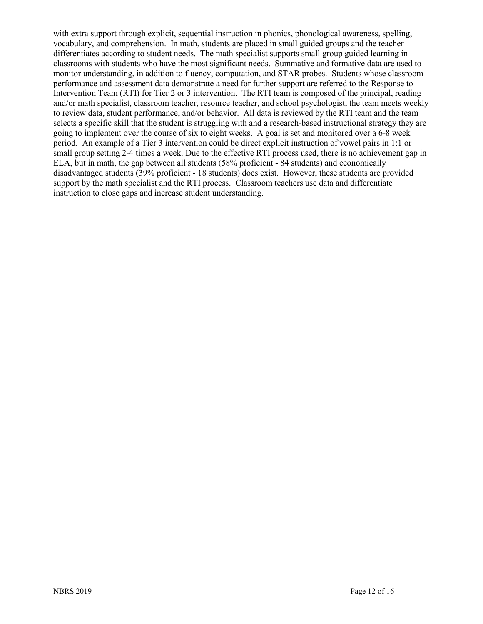with extra support through explicit, sequential instruction in phonics, phonological awareness, spelling, vocabulary, and comprehension. In math, students are placed in small guided groups and the teacher differentiates according to student needs. The math specialist supports small group guided learning in classrooms with students who have the most significant needs. Summative and formative data are used to monitor understanding, in addition to fluency, computation, and STAR probes. Students whose classroom performance and assessment data demonstrate a need for further support are referred to the Response to Intervention Team (RTI) for Tier 2 or 3 intervention. The RTI team is composed of the principal, reading and/or math specialist, classroom teacher, resource teacher, and school psychologist, the team meets weekly to review data, student performance, and/or behavior. All data is reviewed by the RTI team and the team selects a specific skill that the student is struggling with and a research-based instructional strategy they are going to implement over the course of six to eight weeks. A goal is set and monitored over a 6-8 week period. An example of a Tier 3 intervention could be direct explicit instruction of vowel pairs in 1:1 or small group setting 2-4 times a week. Due to the effective RTI process used, there is no achievement gap in ELA, but in math, the gap between all students (58% proficient - 84 students) and economically disadvantaged students (39% proficient - 18 students) does exist. However, these students are provided support by the math specialist and the RTI process. Classroom teachers use data and differentiate instruction to close gaps and increase student understanding.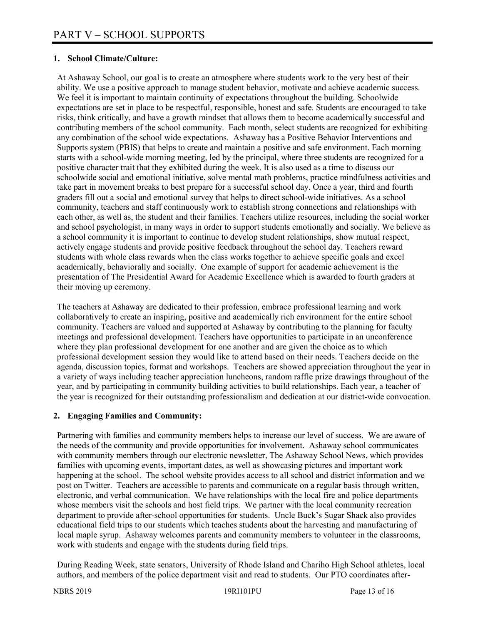# **1. School Climate/Culture:**

At Ashaway School, our goal is to create an atmosphere where students work to the very best of their ability. We use a positive approach to manage student behavior, motivate and achieve academic success. We feel it is important to maintain continuity of expectations throughout the building. Schoolwide expectations are set in place to be respectful, responsible, honest and safe. Students are encouraged to take risks, think critically, and have a growth mindset that allows them to become academically successful and contributing members of the school community. Each month, select students are recognized for exhibiting any combination of the school wide expectations. Ashaway has a Positive Behavior Interventions and Supports system (PBIS) that helps to create and maintain a positive and safe environment. Each morning starts with a school-wide morning meeting, led by the principal, where three students are recognized for a positive character trait that they exhibited during the week. It is also used as a time to discuss our schoolwide social and emotional initiative, solve mental math problems, practice mindfulness activities and take part in movement breaks to best prepare for a successful school day. Once a year, third and fourth graders fill out a social and emotional survey that helps to direct school-wide initiatives. As a school community, teachers and staff continuously work to establish strong connections and relationships with each other, as well as, the student and their families. Teachers utilize resources, including the social worker and school psychologist, in many ways in order to support students emotionally and socially. We believe as a school community it is important to continue to develop student relationships, show mutual respect, actively engage students and provide positive feedback throughout the school day. Teachers reward students with whole class rewards when the class works together to achieve specific goals and excel academically, behaviorally and socially. One example of support for academic achievement is the presentation of The Presidential Award for Academic Excellence which is awarded to fourth graders at their moving up ceremony.

The teachers at Ashaway are dedicated to their profession, embrace professional learning and work collaboratively to create an inspiring, positive and academically rich environment for the entire school community. Teachers are valued and supported at Ashaway by contributing to the planning for faculty meetings and professional development. Teachers have opportunities to participate in an unconference where they plan professional development for one another and are given the choice as to which professional development session they would like to attend based on their needs. Teachers decide on the agenda, discussion topics, format and workshops. Teachers are showed appreciation throughout the year in a variety of ways including teacher appreciation luncheons, random raffle prize drawings throughout of the year, and by participating in community building activities to build relationships. Each year, a teacher of the year is recognized for their outstanding professionalism and dedication at our district-wide convocation.

# **2. Engaging Families and Community:**

Partnering with families and community members helps to increase our level of success. We are aware of the needs of the community and provide opportunities for involvement. Ashaway school communicates with community members through our electronic newsletter, The Ashaway School News, which provides families with upcoming events, important dates, as well as showcasing pictures and important work happening at the school. The school website provides access to all school and district information and we post on Twitter. Teachers are accessible to parents and communicate on a regular basis through written, electronic, and verbal communication. We have relationships with the local fire and police departments whose members visit the schools and host field trips. We partner with the local community recreation department to provide after-school opportunities for students. Uncle Buck's Sugar Shack also provides educational field trips to our students which teaches students about the harvesting and manufacturing of local maple syrup. Ashaway welcomes parents and community members to volunteer in the classrooms, work with students and engage with the students during field trips.

During Reading Week, state senators, University of Rhode Island and Chariho High School athletes, local authors, and members of the police department visit and read to students. Our PTO coordinates after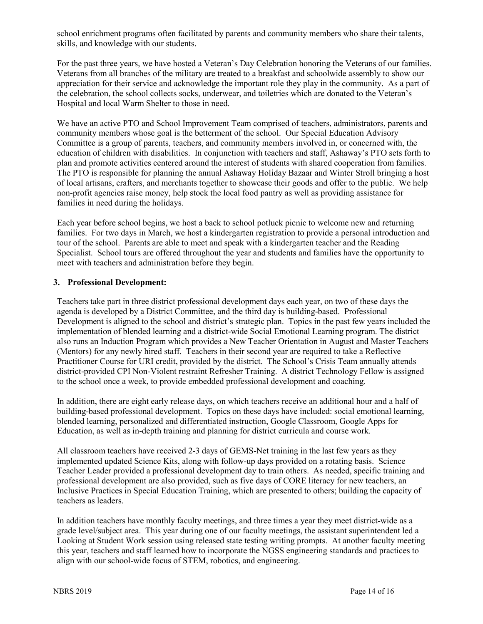school enrichment programs often facilitated by parents and community members who share their talents, skills, and knowledge with our students.

For the past three years, we have hosted a Veteran's Day Celebration honoring the Veterans of our families. Veterans from all branches of the military are treated to a breakfast and schoolwide assembly to show our appreciation for their service and acknowledge the important role they play in the community. As a part of the celebration, the school collects socks, underwear, and toiletries which are donated to the Veteran's Hospital and local Warm Shelter to those in need.

We have an active PTO and School Improvement Team comprised of teachers, administrators, parents and community members whose goal is the betterment of the school. Our Special Education Advisory Committee is a group of parents, teachers, and community members involved in, or concerned with, the education of children with disabilities. In conjunction with teachers and staff, Ashaway's PTO sets forth to plan and promote activities centered around the interest of students with shared cooperation from families. The PTO is responsible for planning the annual Ashaway Holiday Bazaar and Winter Stroll bringing a host of local artisans, crafters, and merchants together to showcase their goods and offer to the public. We help non-profit agencies raise money, help stock the local food pantry as well as providing assistance for families in need during the holidays.

Each year before school begins, we host a back to school potluck picnic to welcome new and returning families. For two days in March, we host a kindergarten registration to provide a personal introduction and tour of the school. Parents are able to meet and speak with a kindergarten teacher and the Reading Specialist. School tours are offered throughout the year and students and families have the opportunity to meet with teachers and administration before they begin.

## **3. Professional Development:**

Teachers take part in three district professional development days each year, on two of these days the agenda is developed by a District Committee, and the third day is building-based. Professional Development is aligned to the school and district's strategic plan. Topics in the past few years included the implementation of blended learning and a district-wide Social Emotional Learning program. The district also runs an Induction Program which provides a New Teacher Orientation in August and Master Teachers (Mentors) for any newly hired staff. Teachers in their second year are required to take a Reflective Practitioner Course for URI credit, provided by the district. The School's Crisis Team annually attends district-provided CPI Non-Violent restraint Refresher Training. A district Technology Fellow is assigned to the school once a week, to provide embedded professional development and coaching.

In addition, there are eight early release days, on which teachers receive an additional hour and a half of building-based professional development. Topics on these days have included: social emotional learning, blended learning, personalized and differentiated instruction, Google Classroom, Google Apps for Education, as well as in-depth training and planning for district curricula and course work.

All classroom teachers have received 2-3 days of GEMS-Net training in the last few years as they implemented updated Science Kits, along with follow-up days provided on a rotating basis. Science Teacher Leader provided a professional development day to train others. As needed, specific training and professional development are also provided, such as five days of CORE literacy for new teachers, an Inclusive Practices in Special Education Training, which are presented to others; building the capacity of teachers as leaders.

In addition teachers have monthly faculty meetings, and three times a year they meet district-wide as a grade level/subject area. This year during one of our faculty meetings, the assistant superintendent led a Looking at Student Work session using released state testing writing prompts. At another faculty meeting this year, teachers and staff learned how to incorporate the NGSS engineering standards and practices to align with our school-wide focus of STEM, robotics, and engineering.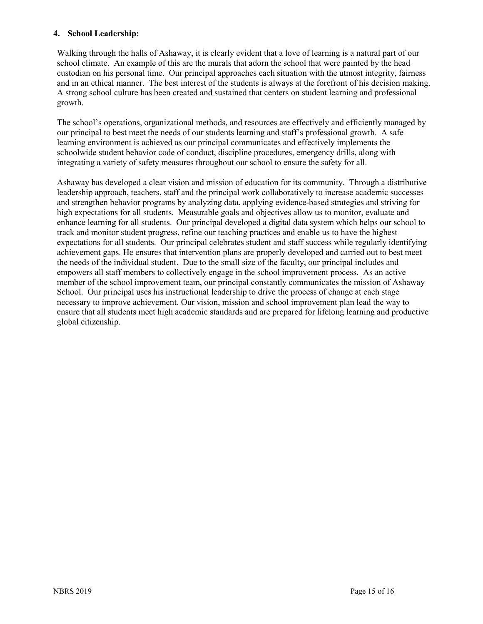## **4. School Leadership:**

Walking through the halls of Ashaway, it is clearly evident that a love of learning is a natural part of our school climate. An example of this are the murals that adorn the school that were painted by the head custodian on his personal time. Our principal approaches each situation with the utmost integrity, fairness and in an ethical manner. The best interest of the students is always at the forefront of his decision making. A strong school culture has been created and sustained that centers on student learning and professional growth.

The school's operations, organizational methods, and resources are effectively and efficiently managed by our principal to best meet the needs of our students learning and staff's professional growth. A safe learning environment is achieved as our principal communicates and effectively implements the schoolwide student behavior code of conduct, discipline procedures, emergency drills, along with integrating a variety of safety measures throughout our school to ensure the safety for all.

Ashaway has developed a clear vision and mission of education for its community. Through a distributive leadership approach, teachers, staff and the principal work collaboratively to increase academic successes and strengthen behavior programs by analyzing data, applying evidence-based strategies and striving for high expectations for all students. Measurable goals and objectives allow us to monitor, evaluate and enhance learning for all students. Our principal developed a digital data system which helps our school to track and monitor student progress, refine our teaching practices and enable us to have the highest expectations for all students. Our principal celebrates student and staff success while regularly identifying achievement gaps. He ensures that intervention plans are properly developed and carried out to best meet the needs of the individual student. Due to the small size of the faculty, our principal includes and empowers all staff members to collectively engage in the school improvement process. As an active member of the school improvement team, our principal constantly communicates the mission of Ashaway School. Our principal uses his instructional leadership to drive the process of change at each stage necessary to improve achievement. Our vision, mission and school improvement plan lead the way to ensure that all students meet high academic standards and are prepared for lifelong learning and productive global citizenship.